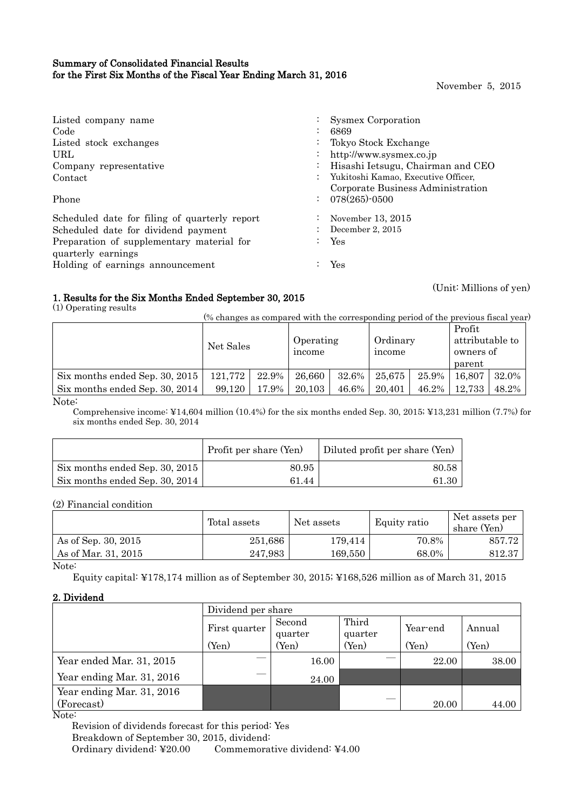# Summary of Consolidated Financial Results for the First Six Months of the Fiscal Year Ending March 31, 2016

November 5, 2015

(Unit: Millions of yen)

| Listed company name                           | Sysmex Corporation                  |
|-----------------------------------------------|-------------------------------------|
| Code<br>$\bullet$                             | 6869                                |
| Listed stock exchanges                        | Tokyo Stock Exchange                |
| URL.<br>$\bullet$                             | http://www.sysmex.co.jp             |
| Company representative<br>$\bullet$           | Hisashi Ietsugu, Chairman and CEO   |
| Contact                                       | Yukitoshi Kamao, Executive Officer, |
|                                               | Corporate Business Administration   |
| $\ddot{\cdot}$<br>Phone                       | $078(265)$ -0500                    |
| Scheduled date for filing of quarterly report | November $13, 2015$                 |
| Scheduled date for dividend payment           | December 2, 2015                    |
| Preparation of supplementary material for     | Yes                                 |
| quarterly earnings                            |                                     |
| Holding of earnings announcement              | Yes                                 |

# 1. Results for the Six Months Ended September 30, 2015

(1) Operating results

(% changes as compared with the corresponding period of the previous fiscal year)

|                                |           |       |                     |       |                    |       | Profit          |       |
|--------------------------------|-----------|-------|---------------------|-------|--------------------|-------|-----------------|-------|
|                                | Net Sales |       | Operating<br>income |       | Ordinary<br>income |       | attributable to |       |
|                                |           |       |                     |       |                    |       | owners of       |       |
|                                |           |       |                     |       |                    |       | parent          |       |
| Six months ended Sep. 30, 2015 | 121,772   | 22.9% | 26,660              | 32.6% | 25.675             | 25.9% | 16.807          | 32.0% |
| Six months ended Sep. 30, 2014 | 99.120    | 17.9% | 20.103              | 46.6% | 20.401             | 46.2% | 12,733          | 48.2% |
| $NT_{\text{max}}$              |           |       |                     |       |                    |       |                 |       |

Note:

Comprehensive income: ¥14,604 million (10.4%) for the six months ended Sep. 30, 2015; ¥13,231 million (7.7%) for six months ended Sep. 30, 2014

|                                | Profit per share (Yen) | Diluted profit per share (Yen) |
|--------------------------------|------------------------|--------------------------------|
| Six months ended Sep. 30, 2015 | 80.95                  | 80.58                          |
| Six months ended Sep. 30, 2014 | 61.44                  | 61.30                          |

(2) Financial condition

|                     | Total assets | Net assets  | Equity ratio | Net assets per<br>share (Yen) |
|---------------------|--------------|-------------|--------------|-------------------------------|
| As of Sep. 30, 2015 | 251,686      | 179,414     | 70.8%        | 857.72                        |
| As of Mar. 31, 2015 | 247,983      | $169{,}550$ | 68.0%        | 812.37                        |

Note:

Equity capital: ¥178,174 million as of September 30, 2015; ¥168,526 million as of March 31, 2015

# 2. Dividend

|                                           | Dividend per share |                   |                  |          |        |
|-------------------------------------------|--------------------|-------------------|------------------|----------|--------|
|                                           | First quarter      | Second<br>quarter | Third<br>quarter | Year-end | Annual |
|                                           | (Yen)              | (Yen)             | (Yen)            | (Yen)    | (Yen)  |
| Year ended Mar. 31, 2015                  |                    | 16.00             |                  | 22.00    | 38.00  |
| Year ending Mar. 31, 2016                 |                    | 24.00             |                  |          |        |
| Year ending Mar. 31, 2016                 |                    |                   |                  |          |        |
| (Forecast)<br>$\sim$ $\sim$ $\sim$ $\sim$ |                    |                   |                  | 20.00    | 44.00  |

Note:

Revision of dividends forecast for this period: Yes Breakdown of September 30, 2015, dividend: Ordinary dividend: ¥20.00 Commemorative dividend: ¥4.00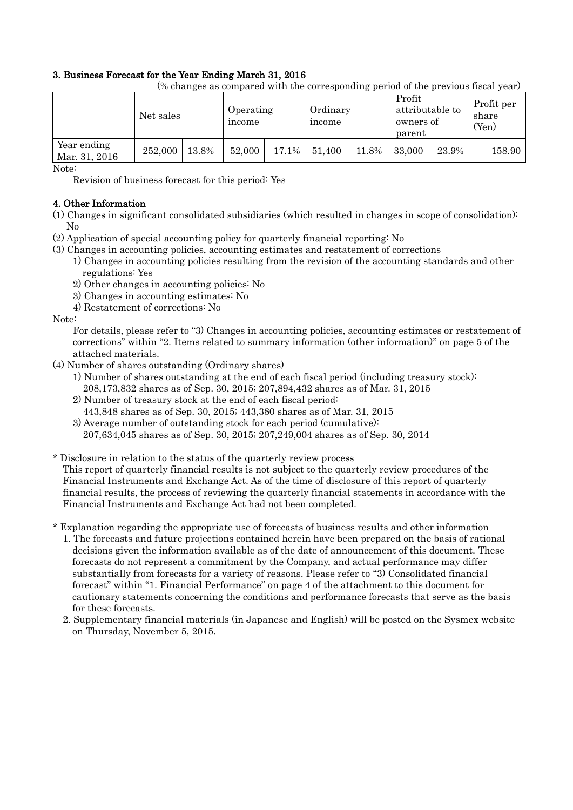# 3. Business Forecast for the Year Ending March 31, 2016

|                              | Net sales |       | Operating<br>income |       | Ordinary<br>income |       | Profit<br>owners of<br>parent | attributable to | Profit per<br>share<br>(Yen) |
|------------------------------|-----------|-------|---------------------|-------|--------------------|-------|-------------------------------|-----------------|------------------------------|
| Year ending<br>Mar. 31, 2016 | 252,000   | 13.8% | 52,000              | 17.1% | 51,400             | 11.8% | 33,000                        | 23.9%           | 158.90                       |

(% changes as compared with the corresponding period of the previous fiscal year)

Note:

Revision of business forecast for this period: Yes

# 4. Other Information

- (1) Changes in significant consolidated subsidiaries (which resulted in changes in scope of consolidation): No
- (2) Application of special accounting policy for quarterly financial reporting: No
- (3) Changes in accounting policies, accounting estimates and restatement of corrections
	- 1) Changes in accounting policies resulting from the revision of the accounting standards and other regulations: Yes
	- 2) Other changes in accounting policies: No
	- 3) Changes in accounting estimates: No
	- 4) Restatement of corrections: No

Note:

For details, please refer to "3) Changes in accounting policies, accounting estimates or restatement of corrections" within "2. Items related to summary information (other information)" on page 5 of the attached materials.

- (4) Number of shares outstanding (Ordinary shares)
	- 1) Number of shares outstanding at the end of each fiscal period (including treasury stock): 208,173,832 shares as of Sep. 30, 2015; 207,894,432 shares as of Mar. 31, 2015
	- 2) Number of treasury stock at the end of each fiscal period: 443,848 shares as of Sep. 30, 2015; 443,380 shares as of Mar. 31, 2015
	- 3) Average number of outstanding stock for each period (cumulative): 207,634,045 shares as of Sep. 30, 2015; 207,249,004 shares as of Sep. 30, 2014
- \* Disclosure in relation to the status of the quarterly review process This report of quarterly financial results is not subject to the quarterly review procedures of the Financial Instruments and Exchange Act. As of the time of disclosure of this report of quarterly financial results, the process of reviewing the quarterly financial statements in accordance with the Financial Instruments and Exchange Act had not been completed.

\* Explanation regarding the appropriate use of forecasts of business results and other information

- 1. The forecasts and future projections contained herein have been prepared on the basis of rational decisions given the information available as of the date of announcement of this document. These forecasts do not represent a commitment by the Company, and actual performance may differ substantially from forecasts for a variety of reasons. Please refer to "3) Consolidated financial forecast" within "1. Financial Performance" on page 4 of the attachment to this document for cautionary statements concerning the conditions and performance forecasts that serve as the basis for these forecasts.
- 2. Supplementary financial materials (in Japanese and English) will be posted on the Sysmex website on Thursday, November 5, 2015.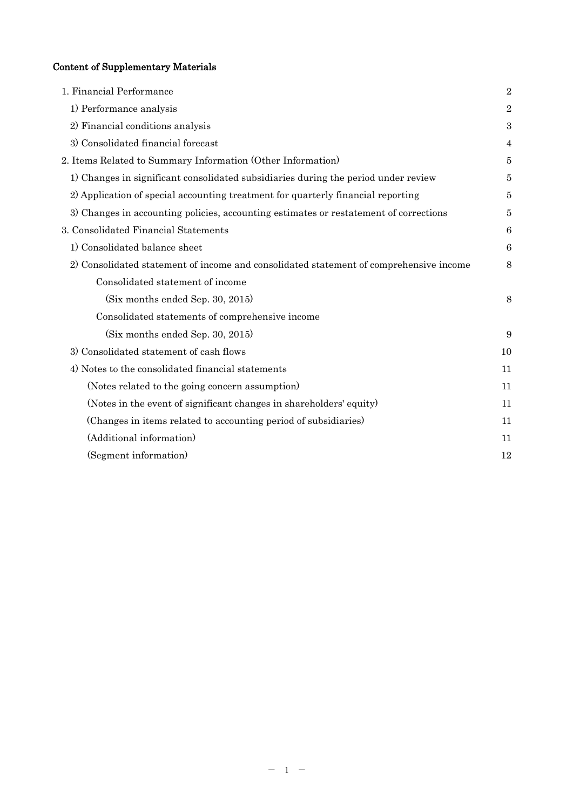# Content of Supplementary Materials

| 1. Financial Performance                                                               | $\overline{2}$ |
|----------------------------------------------------------------------------------------|----------------|
| 1) Performance analysis                                                                | $\overline{2}$ |
| 2) Financial conditions analysis                                                       | 3              |
| 3) Consolidated financial forecast                                                     | 4              |
| 2. Items Related to Summary Information (Other Information)                            | 5              |
| 1) Changes in significant consolidated subsidiaries during the period under review     | 5              |
| 2) Application of special accounting treatment for quarterly financial reporting       | 5              |
| 3) Changes in accounting policies, accounting estimates or restatement of corrections  | 5              |
| 3. Consolidated Financial Statements                                                   | 6              |
| 1) Consolidated balance sheet                                                          | 6              |
| 2) Consolidated statement of income and consolidated statement of comprehensive income | 8              |
| Consolidated statement of income                                                       |                |
| (Six months ended Sep. 30, 2015)                                                       | 8              |
| Consolidated statements of comprehensive income                                        |                |
| (Six months ended Sep. 30, 2015)                                                       | 9              |
| 3) Consolidated statement of cash flows                                                | 10             |
| 4) Notes to the consolidated financial statements                                      | 11             |
| (Notes related to the going concern assumption)                                        | 11             |
| (Notes in the event of significant changes in shareholders' equity)                    | 11             |
| (Changes in items related to accounting period of subsidiaries)                        | 11             |
| (Additional information)                                                               | 11             |
| (Segment information)                                                                  | 12             |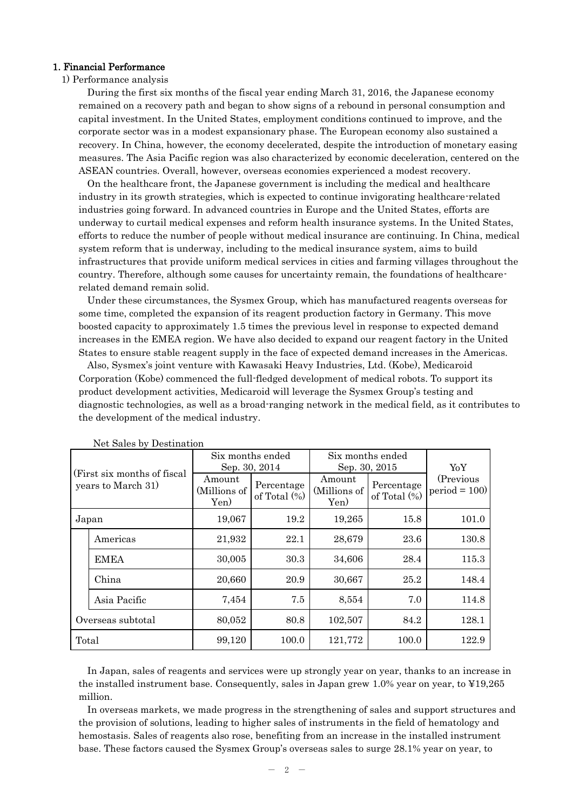#### 1. Financial Performance

#### 1) Performance analysis

During the first six months of the fiscal year ending March 31, 2016, the Japanese economy remained on a recovery path and began to show signs of a rebound in personal consumption and capital investment. In the United States, employment conditions continued to improve, and the corporate sector was in a modest expansionary phase. The European economy also sustained a recovery. In China, however, the economy decelerated, despite the introduction of monetary easing measures. The Asia Pacific region was also characterized by economic deceleration, centered on the ASEAN countries. Overall, however, overseas economies experienced a modest recovery.

On the healthcare front, the Japanese government is including the medical and healthcare industry in its growth strategies, which is expected to continue invigorating healthcare-related industries going forward. In advanced countries in Europe and the United States, efforts are underway to curtail medical expenses and reform health insurance systems. In the United States, efforts to reduce the number of people without medical insurance are continuing. In China, medical system reform that is underway, including to the medical insurance system, aims to build infrastructures that provide uniform medical services in cities and farming villages throughout the country. Therefore, although some causes for uncertainty remain, the foundations of healthcarerelated demand remain solid.

Under these circumstances, the Sysmex Group, which has manufactured reagents overseas for some time, completed the expansion of its reagent production factory in Germany. This move boosted capacity to approximately 1.5 times the previous level in response to expected demand increases in the EMEA region. We have also decided to expand our reagent factory in the United States to ensure stable reagent supply in the face of expected demand increases in the Americas.

Also, Sysmex's joint venture with Kawasaki Heavy Industries, Ltd. (Kobe), Medicaroid Corporation (Kobe) commenced the full-fledged development of medical robots. To support its product development activities, Medicaroid will leverage the Sysmex Group's testing and diagnostic technologies, as well as a broad-ranging network in the medical field, as it contributes to the development of the medical industry.

|                                                    | THEY DATES BY DESCRITATION |                                |                               |                                |                               |                             |  |
|----------------------------------------------------|----------------------------|--------------------------------|-------------------------------|--------------------------------|-------------------------------|-----------------------------|--|
| (First six months of fiscal)<br>years to March 31) |                            | Six months ended               |                               | Six months ended               |                               |                             |  |
|                                                    |                            |                                | Sep. 30, 2014                 | Sep. 30, 2015                  |                               | YoY.                        |  |
|                                                    |                            | Amount<br>(Millions of<br>Yen) | Percentage<br>of Total $(\%)$ | Amount<br>(Millions of<br>Yen) | Percentage<br>of Total $(\%)$ | (Previous<br>$period = 100$ |  |
|                                                    | Japan                      | 19,067                         | 19.2                          | 19,265<br>15.8                 |                               | 101.0                       |  |
|                                                    | Americas                   | 21,932                         | 22.1                          | 28,679                         | 23.6                          | 130.8                       |  |
|                                                    | EMEA                       | 30,005                         | 30.3                          | 34,606                         | 28.4                          | 115.3                       |  |
|                                                    | China                      | 20,660                         | 20.9                          | 30,667                         | 25.2                          | 148.4                       |  |
|                                                    | Asia Pacific               | 7,454                          | 7.5                           | 8,554                          | 7.0                           | 114.8                       |  |
| Overseas subtotal                                  |                            | 80,052                         | 80.8                          | 102,507                        | 84.2                          | 128.1                       |  |
| Total                                              |                            | 99,120                         | 100.0                         | 121,772                        | 100.0                         | 122.9                       |  |

Net Sales by Destination

In Japan, sales of reagents and services were up strongly year on year, thanks to an increase in the installed instrument base. Consequently, sales in Japan grew 1.0% year on year, to ¥19,265 million.

In overseas markets, we made progress in the strengthening of sales and support structures and the provision of solutions, leading to higher sales of instruments in the field of hematology and hemostasis. Sales of reagents also rose, benefiting from an increase in the installed instrument base. These factors caused the Sysmex Group's overseas sales to surge 28.1% year on year, to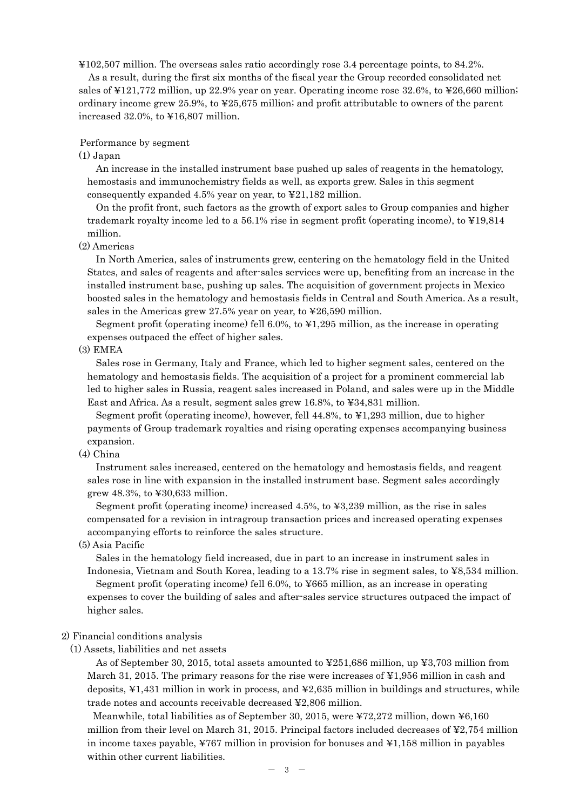¥102,507 million. The overseas sales ratio accordingly rose 3.4 percentage points, to 84.2%.

As a result, during the first six months of the fiscal year the Group recorded consolidated net sales of ¥121,772 million, up 22.9% year on year. Operating income rose 32.6%, to ¥26,660 million; ordinary income grew 25.9%, to ¥25,675 million; and profit attributable to owners of the parent increased 32.0%, to ¥16,807 million.

#### Performance by segment

(1) Japan

An increase in the installed instrument base pushed up sales of reagents in the hematology, hemostasis and immunochemistry fields as well, as exports grew. Sales in this segment consequently expanded 4.5% year on year, to ¥21,182 million.

On the profit front, such factors as the growth of export sales to Group companies and higher trademark royalty income led to a 56.1% rise in segment profit (operating income), to ¥19,814 million.

(2) Americas

In North America, sales of instruments grew, centering on the hematology field in the United States, and sales of reagents and after-sales services were up, benefiting from an increase in the installed instrument base, pushing up sales. The acquisition of government projects in Mexico boosted sales in the hematology and hemostasis fields in Central and South America. As a result, sales in the Americas grew 27.5% year on year, to ¥26,590 million.

Segment profit (operating income) fell 6.0%, to ¥1,295 million, as the increase in operating expenses outpaced the effect of higher sales.

(3) EMEA

Sales rose in Germany, Italy and France, which led to higher segment sales, centered on the hematology and hemostasis fields. The acquisition of a project for a prominent commercial lab led to higher sales in Russia, reagent sales increased in Poland, and sales were up in the Middle East and Africa. As a result, segment sales grew 16.8%, to ¥34,831 million.

Segment profit (operating income), however, fell 44.8%, to ¥1,293 million, due to higher payments of Group trademark royalties and rising operating expenses accompanying business expansion.

(4) China

Instrument sales increased, centered on the hematology and hemostasis fields, and reagent sales rose in line with expansion in the installed instrument base. Segment sales accordingly grew 48.3%, to ¥30,633 million.

Segment profit (operating income) increased 4.5%, to ¥3,239 million, as the rise in sales compensated for a revision in intragroup transaction prices and increased operating expenses accompanying efforts to reinforce the sales structure.

(5) Asia Pacific

Sales in the hematology field increased, due in part to an increase in instrument sales in Indonesia, Vietnam and South Korea, leading to a 13.7% rise in segment sales, to ¥8,534 million. Segment profit (operating income) fell 6.0%, to ¥665 million, as an increase in operating expenses to cover the building of sales and after-sales service structures outpaced the impact of higher sales.

#### 2) Financial conditions analysis

(1) Assets, liabilities and net assets

As of September 30, 2015, total assets amounted to ¥251,686 million, up ¥3,703 million from March 31, 2015. The primary reasons for the rise were increases of ¥1,956 million in cash and deposits, ¥1,431 million in work in process, and ¥2,635 million in buildings and structures, while trade notes and accounts receivable decreased ¥2,806 million.

Meanwhile, total liabilities as of September 30, 2015, were ¥72,272 million, down ¥6,160 million from their level on March 31, 2015. Principal factors included decreases of ¥2,754 million in income taxes payable, ¥767 million in provision for bonuses and ¥1,158 million in payables within other current liabilities.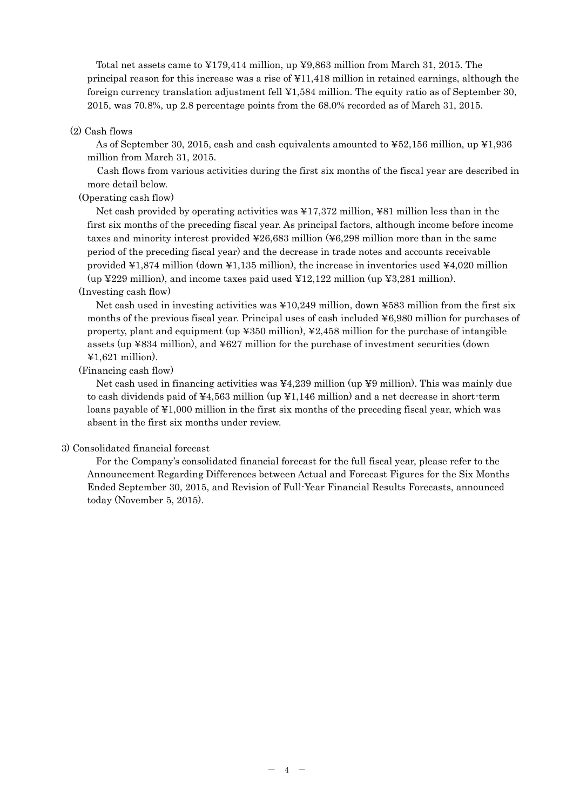Total net assets came to ¥179,414 million, up ¥9,863 million from March 31, 2015. The principal reason for this increase was a rise of ¥11,418 million in retained earnings, although the foreign currency translation adjustment fell ¥1,584 million. The equity ratio as of September 30, 2015, was 70.8%, up 2.8 percentage points from the 68.0% recorded as of March 31, 2015.

#### (2) Cash flows

As of September 30, 2015, cash and cash equivalents amounted to ¥52,156 million, up ¥1,936 million from March 31, 2015.

Cash flows from various activities during the first six months of the fiscal year are described in more detail below.

(Operating cash flow)

 Net cash provided by operating activities was ¥17,372 million, ¥81 million less than in the first six months of the preceding fiscal year. As principal factors, although income before income taxes and minority interest provided ¥26,683 million (¥6,298 million more than in the same period of the preceding fiscal year) and the decrease in trade notes and accounts receivable provided  $\text{\textsterling}1,874$  million (down  $\text{\textsterling}1,135$  million), the increase in inventories used  $\text{\textsterling}4,020$  million (up  $\text{\textsterling}229$  million), and income taxes paid used  $\text{\textsterling}12,122$  million (up  $\text{\textsterling}3,281$  million).

## (Investing cash flow)

Net cash used in investing activities was ¥10,249 million, down ¥583 million from the first six months of the previous fiscal year. Principal uses of cash included ¥6,980 million for purchases of property, plant and equipment (up ¥350 million), ¥2,458 million for the purchase of intangible assets (up ¥834 million), and ¥627 million for the purchase of investment securities (down  $\text{\textsterling}1,621$  million).

#### (Financing cash flow)

Net cash used in financing activities was  $\frac{1}{4}4,239$  million (up  $\frac{1}{4}9$  million). This was mainly due to cash dividends paid of ¥4,563 million (up ¥1,146 million) and a net decrease in short-term loans payable of ¥1,000 million in the first six months of the preceding fiscal year, which was absent in the first six months under review.

#### 3) Consolidated financial forecast

For the Company's consolidated financial forecast for the full fiscal year, please refer to the Announcement Regarding Differences between Actual and Forecast Figures for the Six Months Ended September 30, 2015, and Revision of Full-Year Financial Results Forecasts, announced today (November 5, 2015).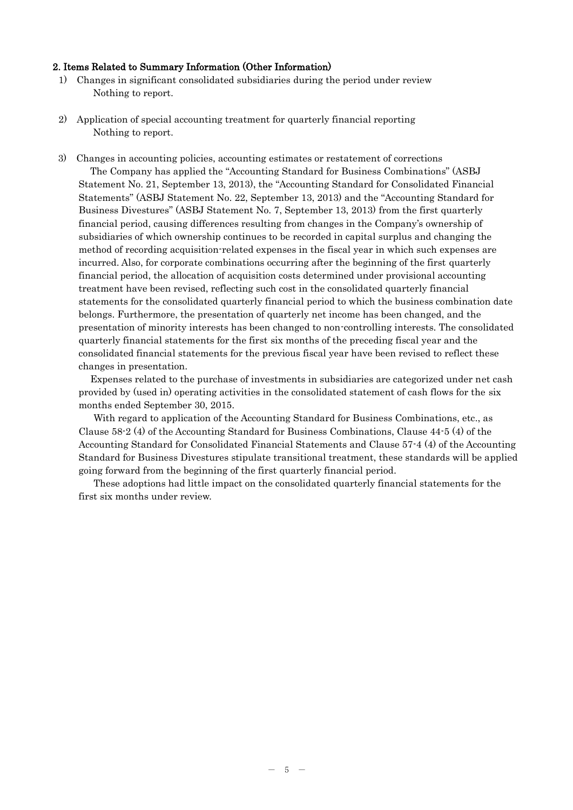#### 2. Items Related to Summary Information (Other Information)

- 1) Changes in significant consolidated subsidiaries during the period under review Nothing to report.
- 2) Application of special accounting treatment for quarterly financial reporting Nothing to report.

3) Changes in accounting policies, accounting estimates or restatement of corrections The Company has applied the "Accounting Standard for Business Combinations" (ASBJ Statement No. 21, September 13, 2013), the "Accounting Standard for Consolidated Financial Statements" (ASBJ Statement No. 22, September 13, 2013) and the "Accounting Standard for Business Divestures" (ASBJ Statement No. 7, September 13, 2013) from the first quarterly financial period, causing differences resulting from changes in the Company's ownership of subsidiaries of which ownership continues to be recorded in capital surplus and changing the method of recording acquisition-related expenses in the fiscal year in which such expenses are incurred. Also, for corporate combinations occurring after the beginning of the first quarterly financial period, the allocation of acquisition costs determined under provisional accounting treatment have been revised, reflecting such cost in the consolidated quarterly financial statements for the consolidated quarterly financial period to which the business combination date belongs. Furthermore, the presentation of quarterly net income has been changed, and the presentation of minority interests has been changed to non-controlling interests. The consolidated quarterly financial statements for the first six months of the preceding fiscal year and the consolidated financial statements for the previous fiscal year have been revised to reflect these changes in presentation.

Expenses related to the purchase of investments in subsidiaries are categorized under net cash provided by (used in) operating activities in the consolidated statement of cash flows for the six months ended September 30, 2015.

With regard to application of the Accounting Standard for Business Combinations, etc., as Clause 58-2 (4) of the Accounting Standard for Business Combinations, Clause 44-5 (4) of the Accounting Standard for Consolidated Financial Statements and Clause 57-4 (4) of the Accounting Standard for Business Divestures stipulate transitional treatment, these standards will be applied going forward from the beginning of the first quarterly financial period.

These adoptions had little impact on the consolidated quarterly financial statements for the first six months under review.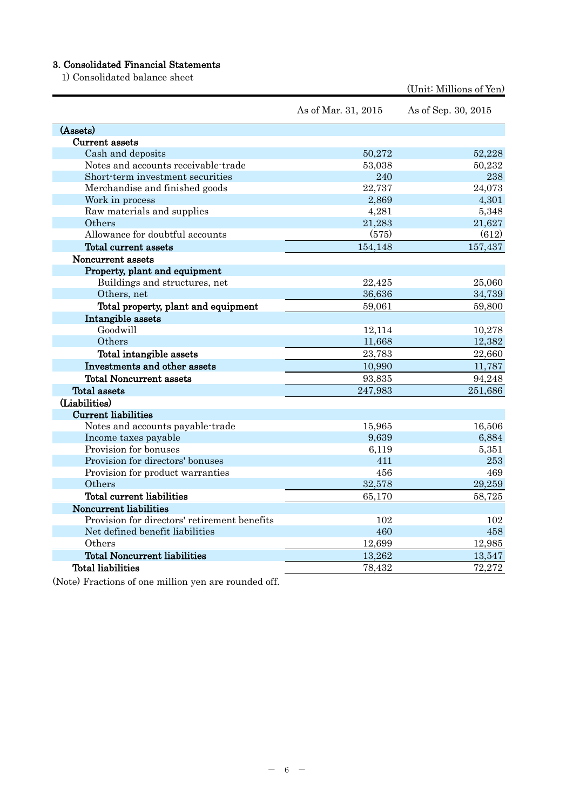# 3. Consolidated Financial Statements

1) Consolidated balance sheet

|                                              | As of Mar. 31, 2015 | As of Sep. 30, 2015 |
|----------------------------------------------|---------------------|---------------------|
| (Assets)                                     |                     |                     |
| Current assets                               |                     |                     |
| Cash and deposits                            | 50,272              | 52,228              |
| Notes and accounts receivable-trade          | 53,038              | 50,232              |
| Short-term investment securities             | 240                 | 238                 |
| Merchandise and finished goods               | 22,737              | 24,073              |
| Work in process                              | 2,869               | 4,301               |
| Raw materials and supplies                   | 4,281               | 5,348               |
| Others                                       | 21,283              | 21,627              |
| Allowance for doubtful accounts              | (575)               | (612)               |
| Total current assets                         | 154,148             | 157,437             |
| Noncurrent assets                            |                     |                     |
| Property, plant and equipment                |                     |                     |
| Buildings and structures, net                | 22,425              | 25,060              |
| Others, net                                  | 36,636              | 34,739              |
| Total property, plant and equipment          | 59,061              | 59,800              |
| Intangible assets                            |                     |                     |
| Goodwill                                     | 12,114              | 10,278              |
| Others                                       | 11,668              | 12,382              |
| Total intangible assets                      | 23,783              | 22,660              |
| Investments and other assets                 | 10,990              | 11,787              |
| <b>Total Noncurrent assets</b>               | 93,835              | 94,248              |
| <b>Total assets</b>                          | 247,983             | 251,686             |
| (Liabilities)                                |                     |                     |
| <b>Current liabilities</b>                   |                     |                     |
| Notes and accounts payable-trade             | 15,965              | 16,506              |
| Income taxes payable                         | 9,639               | 6,884               |
| Provision for bonuses                        | 6,119               | 5,351               |
| Provision for directors' bonuses             | 411                 | 253                 |
| Provision for product warranties             | 456                 | 469                 |
| Others                                       | 32,578              | 29,259              |
| Total current liabilities                    | 65,170              | 58,725              |
| Noncurrent liabilities                       |                     |                     |
| Provision for directors' retirement benefits | 102                 | 102                 |
| Net defined benefit liabilities              | 460                 | 458                 |
| Others                                       | 12,699              | 12,985              |
| <b>Total Noncurrent liabilities</b>          | 13,262              | 13,547              |
| <b>Total liabilities</b>                     | 78,432              | 72,272              |

(Unit: Millions of Yen)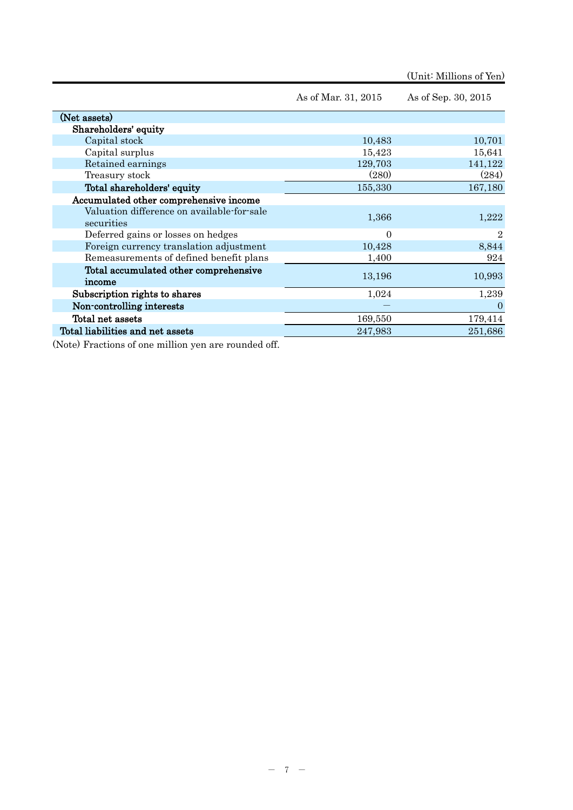(Unit: Millions of Yen)

|                                                          | As of Mar. 31, 2015 | As of Sep. 30, 2015 |
|----------------------------------------------------------|---------------------|---------------------|
| (Net assets)                                             |                     |                     |
| Shareholders' equity                                     |                     |                     |
| Capital stock                                            | 10,483              | 10,701              |
| Capital surplus                                          | 15,423              | 15,641              |
| Retained earnings                                        | 129,703             | 141,122             |
| Treasury stock                                           | (280)               | (284)               |
| Total shareholders' equity                               | 155,330             | 167,180             |
| Accumulated other comprehensive income                   |                     |                     |
| Valuation difference on available-for-sale<br>securities | 1,366               | 1,222               |
| Deferred gains or losses on hedges                       | $\Omega$            | 2                   |
| Foreign currency translation adjustment                  | 10,428              | 8,844               |
| Remeasurements of defined benefit plans                  | 1,400               | 924                 |
| Total accumulated other comprehensive<br>income          | 13,196              | 10,993              |
| Subscription rights to shares                            | 1,024               | 1,239               |
| Non-controlling interests                                |                     | $\Omega$            |
| Total net assets                                         | 169,550             | 179,414             |
| Total liabilities and net assets                         | 247,983             | 251,686             |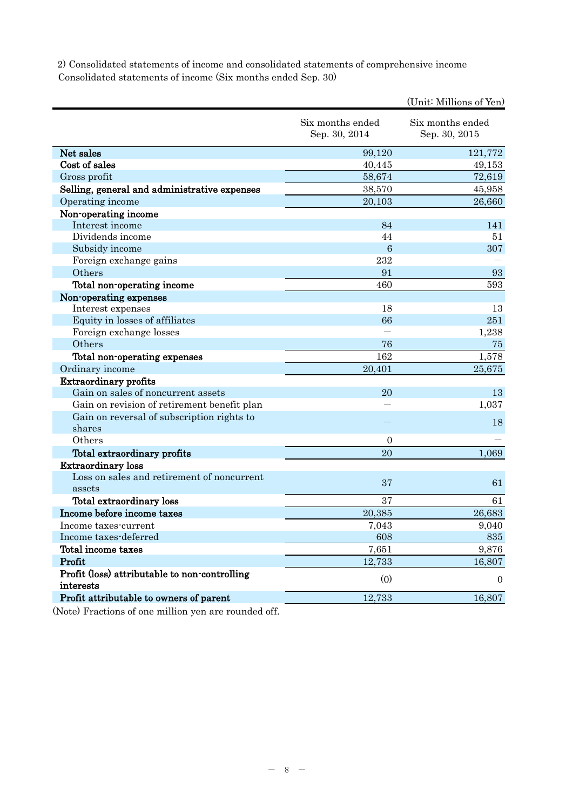2) Consolidated statements of income and consolidated statements of comprehensive income Consolidated statements of income (Six months ended Sep. 30)

|                                                            |                                   | (Unit: Millions of Yen)           |
|------------------------------------------------------------|-----------------------------------|-----------------------------------|
|                                                            | Six months ended<br>Sep. 30, 2014 | Six months ended<br>Sep. 30, 2015 |
| Net sales                                                  | 99,120                            | 121,772                           |
| Cost of sales                                              | 40,445                            | 49,153                            |
| Gross profit                                               | 58,674                            | 72,619                            |
| Selling, general and administrative expenses               | 38,570                            | 45,958                            |
| Operating income                                           | 20,103                            | 26,660                            |
| Non-operating income                                       |                                   |                                   |
| Interest income                                            | 84                                | 141                               |
| Dividends income                                           | 44                                | 51                                |
| Subsidy income                                             | $\overline{6}$                    | 307                               |
| Foreign exchange gains                                     | 232                               |                                   |
| Others                                                     | 91                                | 93                                |
| Total non-operating income                                 | 460                               | 593                               |
| Non-operating expenses                                     |                                   |                                   |
| Interest expenses                                          | 18                                | 13                                |
| Equity in losses of affiliates                             | 66                                | 251                               |
| Foreign exchange losses                                    |                                   | 1,238                             |
| Others                                                     | 76                                | 75                                |
| Total non-operating expenses                               | 162                               | 1,578                             |
| Ordinary income                                            | 20,401                            | 25,675                            |
| <b>Extraordinary profits</b>                               |                                   |                                   |
| Gain on sales of noncurrent assets                         | 20                                | 13                                |
| Gain on revision of retirement benefit plan                |                                   | 1,037                             |
| Gain on reversal of subscription rights to<br>shares       |                                   | 18                                |
| Others                                                     | $\overline{0}$                    |                                   |
| Total extraordinary profits                                | 20                                | 1,069                             |
| <b>Extraordinary loss</b>                                  |                                   |                                   |
| Loss on sales and retirement of noncurrent<br>assets       | 37                                | 61                                |
| Total extraordinary loss                                   | 37                                | 61                                |
| Income before income taxes                                 | 20,385                            | 26,683                            |
| Income taxes-current                                       | 7,043                             | 9,040                             |
| Income taxes-deferred                                      | 608                               | 835                               |
| Total income taxes                                         | 7,651                             | 9,876                             |
| Profit                                                     | 12,733                            | 16,807                            |
| Profit (loss) attributable to non-controlling<br>interests | (0)                               | $\overline{0}$                    |
| Profit attributable to owners of parent                    | 12,733                            | 16,807                            |
|                                                            |                                   |                                   |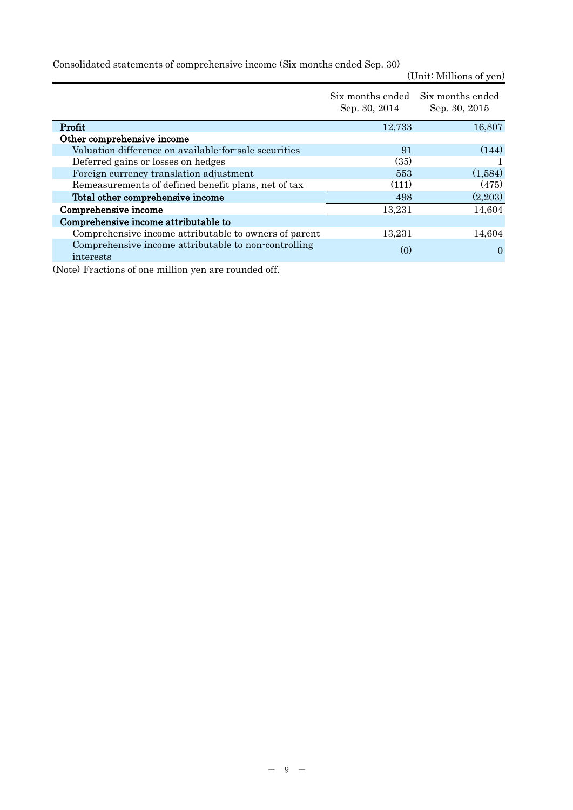Consolidated statements of comprehensive income (Six months ended Sep. 30)

(Unit: Millions of yen)

|                                                                   | Six months ended Six months ended<br>Sep. 30, 2014 | Sep. 30, 2015 |
|-------------------------------------------------------------------|----------------------------------------------------|---------------|
| Profit                                                            | 12,733                                             | 16,807        |
| Other comprehensive income                                        |                                                    |               |
| Valuation difference on available-for-sale securities             | 91                                                 | (144)         |
| Deferred gains or losses on hedges                                | (35)                                               |               |
| Foreign currency translation adjustment                           | 553                                                | (1,584)       |
| Remeasurements of defined benefit plans, net of tax               | (111)                                              | (475)         |
| Total other comprehensive income                                  | 498                                                | (2,203)       |
| Comprehensive income                                              | 13,231                                             | 14,604        |
| Comprehensive income attributable to                              |                                                    |               |
| Comprehensive income attributable to owners of parent             | 13,231                                             | 14,604        |
| Comprehensive income attributable to non-controlling<br>interests | (0)                                                | $\theta$      |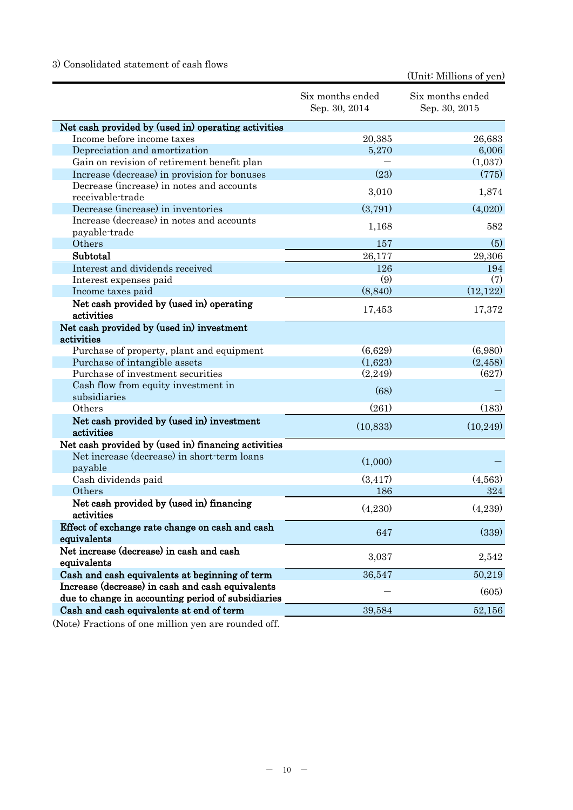# 3) Consolidated statement of cash flows

(Unit: Millions of yen)

| Net cash provided by (used in) operating activities<br>Income before income taxes<br>20,385<br>26,683<br>6,006<br>5,270<br>Depreciation and amortization<br>(1,037)<br>Gain on revision of retirement benefit plan<br>(775)<br>(23)<br>Increase (decrease) in provision for bonuses<br>Decrease (increase) in notes and accounts<br>1,874<br>3,010<br>receivable-trade<br>(3,791)<br>(4,020)<br>Decrease (increase) in inventories<br>Increase (decrease) in notes and accounts<br>582<br>1,168<br>payable-trade<br>(5)<br>Others<br>157<br>Subtotal<br>26,177<br>29,306<br>Interest and dividends received<br>126<br>194<br>(9)<br>(7)<br>Interest expenses paid<br>(8, 840)<br>(12, 122)<br>Income taxes paid<br>Net cash provided by (used in) operating<br>17,372<br>17,453<br>activities<br>Net cash provided by (used in) investment<br>activities<br>(6,629)<br>(6,980)<br>Purchase of property, plant and equipment<br>(1,623)<br>(2, 458)<br>Purchase of intangible assets<br>(627)<br>Purchase of investment securities<br>(2,249)<br>Cash flow from equity investment in<br>(68)<br>subsidiaries<br>(183)<br>(261)<br>Others<br>Net cash provided by (used in) investment<br>(10, 833)<br>(10, 249)<br>activities<br>Net cash provided by (used in) financing activities<br>Net increase (decrease) in short-term loans<br>(1,000)<br>payable<br>(3, 417)<br>(4,563)<br>Cash dividends paid<br>Others<br>324<br>186<br>Net cash provided by (used in) financing<br>(4,239)<br>(4,230)<br>activities<br>Effect of exchange rate change on cash and cash<br>(339)<br>647<br>equivalents<br>Net increase (decrease) in cash and cash<br>3,037<br>2,542<br>equivalents<br>Cash and cash equivalents at beginning of term<br>50,219<br>36,547<br>Increase (decrease) in cash and cash equivalents<br>(605)<br>due to change in accounting period of subsidiaries<br>Cash and cash equivalents at end of term<br>39,584<br>52,156 | Six months ended<br>Sep. 30, 2014 | Six months ended<br>Sep. 30, 2015 |
|----------------------------------------------------------------------------------------------------------------------------------------------------------------------------------------------------------------------------------------------------------------------------------------------------------------------------------------------------------------------------------------------------------------------------------------------------------------------------------------------------------------------------------------------------------------------------------------------------------------------------------------------------------------------------------------------------------------------------------------------------------------------------------------------------------------------------------------------------------------------------------------------------------------------------------------------------------------------------------------------------------------------------------------------------------------------------------------------------------------------------------------------------------------------------------------------------------------------------------------------------------------------------------------------------------------------------------------------------------------------------------------------------------------------------------------------------------------------------------------------------------------------------------------------------------------------------------------------------------------------------------------------------------------------------------------------------------------------------------------------------------------------------------------------------------------------------------------------------------------------------------------------------------------------------------------|-----------------------------------|-----------------------------------|
|                                                                                                                                                                                                                                                                                                                                                                                                                                                                                                                                                                                                                                                                                                                                                                                                                                                                                                                                                                                                                                                                                                                                                                                                                                                                                                                                                                                                                                                                                                                                                                                                                                                                                                                                                                                                                                                                                                                                        |                                   |                                   |
|                                                                                                                                                                                                                                                                                                                                                                                                                                                                                                                                                                                                                                                                                                                                                                                                                                                                                                                                                                                                                                                                                                                                                                                                                                                                                                                                                                                                                                                                                                                                                                                                                                                                                                                                                                                                                                                                                                                                        |                                   |                                   |
|                                                                                                                                                                                                                                                                                                                                                                                                                                                                                                                                                                                                                                                                                                                                                                                                                                                                                                                                                                                                                                                                                                                                                                                                                                                                                                                                                                                                                                                                                                                                                                                                                                                                                                                                                                                                                                                                                                                                        |                                   |                                   |
|                                                                                                                                                                                                                                                                                                                                                                                                                                                                                                                                                                                                                                                                                                                                                                                                                                                                                                                                                                                                                                                                                                                                                                                                                                                                                                                                                                                                                                                                                                                                                                                                                                                                                                                                                                                                                                                                                                                                        |                                   |                                   |
|                                                                                                                                                                                                                                                                                                                                                                                                                                                                                                                                                                                                                                                                                                                                                                                                                                                                                                                                                                                                                                                                                                                                                                                                                                                                                                                                                                                                                                                                                                                                                                                                                                                                                                                                                                                                                                                                                                                                        |                                   |                                   |
|                                                                                                                                                                                                                                                                                                                                                                                                                                                                                                                                                                                                                                                                                                                                                                                                                                                                                                                                                                                                                                                                                                                                                                                                                                                                                                                                                                                                                                                                                                                                                                                                                                                                                                                                                                                                                                                                                                                                        |                                   |                                   |
|                                                                                                                                                                                                                                                                                                                                                                                                                                                                                                                                                                                                                                                                                                                                                                                                                                                                                                                                                                                                                                                                                                                                                                                                                                                                                                                                                                                                                                                                                                                                                                                                                                                                                                                                                                                                                                                                                                                                        |                                   |                                   |
|                                                                                                                                                                                                                                                                                                                                                                                                                                                                                                                                                                                                                                                                                                                                                                                                                                                                                                                                                                                                                                                                                                                                                                                                                                                                                                                                                                                                                                                                                                                                                                                                                                                                                                                                                                                                                                                                                                                                        |                                   |                                   |
|                                                                                                                                                                                                                                                                                                                                                                                                                                                                                                                                                                                                                                                                                                                                                                                                                                                                                                                                                                                                                                                                                                                                                                                                                                                                                                                                                                                                                                                                                                                                                                                                                                                                                                                                                                                                                                                                                                                                        |                                   |                                   |
|                                                                                                                                                                                                                                                                                                                                                                                                                                                                                                                                                                                                                                                                                                                                                                                                                                                                                                                                                                                                                                                                                                                                                                                                                                                                                                                                                                                                                                                                                                                                                                                                                                                                                                                                                                                                                                                                                                                                        |                                   |                                   |
|                                                                                                                                                                                                                                                                                                                                                                                                                                                                                                                                                                                                                                                                                                                                                                                                                                                                                                                                                                                                                                                                                                                                                                                                                                                                                                                                                                                                                                                                                                                                                                                                                                                                                                                                                                                                                                                                                                                                        |                                   |                                   |
|                                                                                                                                                                                                                                                                                                                                                                                                                                                                                                                                                                                                                                                                                                                                                                                                                                                                                                                                                                                                                                                                                                                                                                                                                                                                                                                                                                                                                                                                                                                                                                                                                                                                                                                                                                                                                                                                                                                                        |                                   |                                   |
|                                                                                                                                                                                                                                                                                                                                                                                                                                                                                                                                                                                                                                                                                                                                                                                                                                                                                                                                                                                                                                                                                                                                                                                                                                                                                                                                                                                                                                                                                                                                                                                                                                                                                                                                                                                                                                                                                                                                        |                                   |                                   |
|                                                                                                                                                                                                                                                                                                                                                                                                                                                                                                                                                                                                                                                                                                                                                                                                                                                                                                                                                                                                                                                                                                                                                                                                                                                                                                                                                                                                                                                                                                                                                                                                                                                                                                                                                                                                                                                                                                                                        |                                   |                                   |
|                                                                                                                                                                                                                                                                                                                                                                                                                                                                                                                                                                                                                                                                                                                                                                                                                                                                                                                                                                                                                                                                                                                                                                                                                                                                                                                                                                                                                                                                                                                                                                                                                                                                                                                                                                                                                                                                                                                                        |                                   |                                   |
|                                                                                                                                                                                                                                                                                                                                                                                                                                                                                                                                                                                                                                                                                                                                                                                                                                                                                                                                                                                                                                                                                                                                                                                                                                                                                                                                                                                                                                                                                                                                                                                                                                                                                                                                                                                                                                                                                                                                        |                                   |                                   |
|                                                                                                                                                                                                                                                                                                                                                                                                                                                                                                                                                                                                                                                                                                                                                                                                                                                                                                                                                                                                                                                                                                                                                                                                                                                                                                                                                                                                                                                                                                                                                                                                                                                                                                                                                                                                                                                                                                                                        |                                   |                                   |
|                                                                                                                                                                                                                                                                                                                                                                                                                                                                                                                                                                                                                                                                                                                                                                                                                                                                                                                                                                                                                                                                                                                                                                                                                                                                                                                                                                                                                                                                                                                                                                                                                                                                                                                                                                                                                                                                                                                                        |                                   |                                   |
|                                                                                                                                                                                                                                                                                                                                                                                                                                                                                                                                                                                                                                                                                                                                                                                                                                                                                                                                                                                                                                                                                                                                                                                                                                                                                                                                                                                                                                                                                                                                                                                                                                                                                                                                                                                                                                                                                                                                        |                                   |                                   |
|                                                                                                                                                                                                                                                                                                                                                                                                                                                                                                                                                                                                                                                                                                                                                                                                                                                                                                                                                                                                                                                                                                                                                                                                                                                                                                                                                                                                                                                                                                                                                                                                                                                                                                                                                                                                                                                                                                                                        |                                   |                                   |
|                                                                                                                                                                                                                                                                                                                                                                                                                                                                                                                                                                                                                                                                                                                                                                                                                                                                                                                                                                                                                                                                                                                                                                                                                                                                                                                                                                                                                                                                                                                                                                                                                                                                                                                                                                                                                                                                                                                                        |                                   |                                   |
|                                                                                                                                                                                                                                                                                                                                                                                                                                                                                                                                                                                                                                                                                                                                                                                                                                                                                                                                                                                                                                                                                                                                                                                                                                                                                                                                                                                                                                                                                                                                                                                                                                                                                                                                                                                                                                                                                                                                        |                                   |                                   |
|                                                                                                                                                                                                                                                                                                                                                                                                                                                                                                                                                                                                                                                                                                                                                                                                                                                                                                                                                                                                                                                                                                                                                                                                                                                                                                                                                                                                                                                                                                                                                                                                                                                                                                                                                                                                                                                                                                                                        |                                   |                                   |
|                                                                                                                                                                                                                                                                                                                                                                                                                                                                                                                                                                                                                                                                                                                                                                                                                                                                                                                                                                                                                                                                                                                                                                                                                                                                                                                                                                                                                                                                                                                                                                                                                                                                                                                                                                                                                                                                                                                                        |                                   |                                   |
|                                                                                                                                                                                                                                                                                                                                                                                                                                                                                                                                                                                                                                                                                                                                                                                                                                                                                                                                                                                                                                                                                                                                                                                                                                                                                                                                                                                                                                                                                                                                                                                                                                                                                                                                                                                                                                                                                                                                        |                                   |                                   |
|                                                                                                                                                                                                                                                                                                                                                                                                                                                                                                                                                                                                                                                                                                                                                                                                                                                                                                                                                                                                                                                                                                                                                                                                                                                                                                                                                                                                                                                                                                                                                                                                                                                                                                                                                                                                                                                                                                                                        |                                   |                                   |
|                                                                                                                                                                                                                                                                                                                                                                                                                                                                                                                                                                                                                                                                                                                                                                                                                                                                                                                                                                                                                                                                                                                                                                                                                                                                                                                                                                                                                                                                                                                                                                                                                                                                                                                                                                                                                                                                                                                                        |                                   |                                   |
|                                                                                                                                                                                                                                                                                                                                                                                                                                                                                                                                                                                                                                                                                                                                                                                                                                                                                                                                                                                                                                                                                                                                                                                                                                                                                                                                                                                                                                                                                                                                                                                                                                                                                                                                                                                                                                                                                                                                        |                                   |                                   |
|                                                                                                                                                                                                                                                                                                                                                                                                                                                                                                                                                                                                                                                                                                                                                                                                                                                                                                                                                                                                                                                                                                                                                                                                                                                                                                                                                                                                                                                                                                                                                                                                                                                                                                                                                                                                                                                                                                                                        |                                   |                                   |
|                                                                                                                                                                                                                                                                                                                                                                                                                                                                                                                                                                                                                                                                                                                                                                                                                                                                                                                                                                                                                                                                                                                                                                                                                                                                                                                                                                                                                                                                                                                                                                                                                                                                                                                                                                                                                                                                                                                                        |                                   |                                   |
|                                                                                                                                                                                                                                                                                                                                                                                                                                                                                                                                                                                                                                                                                                                                                                                                                                                                                                                                                                                                                                                                                                                                                                                                                                                                                                                                                                                                                                                                                                                                                                                                                                                                                                                                                                                                                                                                                                                                        |                                   |                                   |
|                                                                                                                                                                                                                                                                                                                                                                                                                                                                                                                                                                                                                                                                                                                                                                                                                                                                                                                                                                                                                                                                                                                                                                                                                                                                                                                                                                                                                                                                                                                                                                                                                                                                                                                                                                                                                                                                                                                                        |                                   |                                   |
|                                                                                                                                                                                                                                                                                                                                                                                                                                                                                                                                                                                                                                                                                                                                                                                                                                                                                                                                                                                                                                                                                                                                                                                                                                                                                                                                                                                                                                                                                                                                                                                                                                                                                                                                                                                                                                                                                                                                        |                                   |                                   |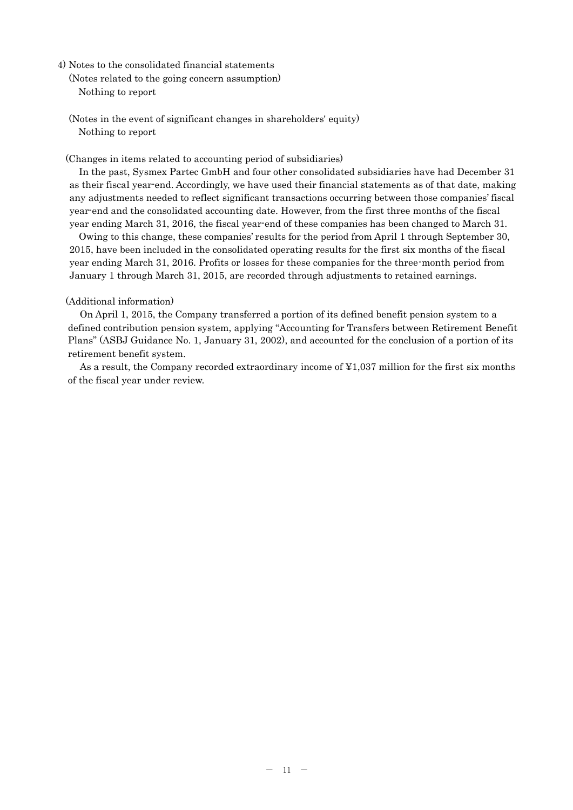- 4) Notes to the consolidated financial statements
	- (Notes related to the going concern assumption) Nothing to report
	- (Notes in the event of significant changes in shareholders' equity) Nothing to report

(Changes in items related to accounting period of subsidiaries)

In the past, Sysmex Partec GmbH and four other consolidated subsidiaries have had December 31 as their fiscal year-end. Accordingly, we have used their financial statements as of that date, making any adjustments needed to reflect significant transactions occurring between those companies' fiscal year-end and the consolidated accounting date. However, from the first three months of the fiscal year ending March 31, 2016, the fiscal year-end of these companies has been changed to March 31.

Owing to this change, these companies' results for the period from April 1 through September 30, 2015, have been included in the consolidated operating results for the first six months of the fiscal year ending March 31, 2016. Profits or losses for these companies for the three-month period from January 1 through March 31, 2015, are recorded through adjustments to retained earnings.

## (Additional information)

On April 1, 2015, the Company transferred a portion of its defined benefit pension system to a defined contribution pension system, applying "Accounting for Transfers between Retirement Benefit Plans" (ASBJ Guidance No. 1, January 31, 2002), and accounted for the conclusion of a portion of its retirement benefit system.

As a result, the Company recorded extraordinary income of ¥1,037 million for the first six months of the fiscal year under review.